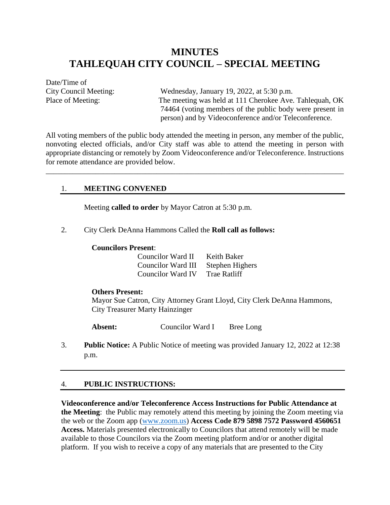# **MINUTES TAHLEQUAH CITY COUNCIL – SPECIAL MEETING**

Date/Time of

City Council Meeting: Wednesday, January 19, 2022, at 5:30 p.m. Place of Meeting: The meeting was held at 111 Cherokee Ave. Tahlequah, OK 74464 (voting members of the public body were present in person) and by Videoconference and/or Teleconference.

All voting members of the public body attended the meeting in person, any member of the public, nonvoting elected officials, and/or City staff was able to attend the meeting in person with appropriate distancing or remotely by Zoom Videoconference and/or Teleconference. Instructions for remote attendance are provided below.

\_\_\_\_\_\_\_\_\_\_\_\_\_\_\_\_\_\_\_\_\_\_\_\_\_\_\_\_\_\_\_\_\_\_\_\_\_\_\_\_\_\_\_\_\_\_\_\_\_\_\_\_\_\_\_\_\_\_\_\_\_\_\_\_\_\_\_\_\_\_\_\_\_\_\_\_\_\_

#### 1. **MEETING CONVENED**

Meeting **called to order** by Mayor Catron at 5:30 p.m.

2. City Clerk DeAnna Hammons Called the **Roll call as follows:** 

#### **Councilors Present**:

| Councilor Ward II  | Keith Baker         |
|--------------------|---------------------|
| Councilor Ward III | Stephen Highers     |
| Councilor Ward IV  | <b>Trae Ratliff</b> |

#### **Others Present:**

Mayor Sue Catron, City Attorney Grant Lloyd, City Clerk DeAnna Hammons, City Treasurer Marty Hainzinger

**Absent:** Councilor Ward I Bree Long

3. **Public Notice:** A Public Notice of meeting was provided January 12, 2022 at 12:38 p.m.

#### 4. **PUBLIC INSTRUCTIONS:**

**Videoconference and/or Teleconference Access Instructions for Public Attendance at the Meeting**: the Public may remotely attend this meeting by joining the Zoom meeting via the web or the Zoom app [\(www.zoom.us\)](http://www.zoom.us/) **Access Code 879 5898 7572 Password 4560651 Access.** Materials presented electronically to Councilors that attend remotely will be made available to those Councilors via the Zoom meeting platform and/or or another digital platform. If you wish to receive a copy of any materials that are presented to the City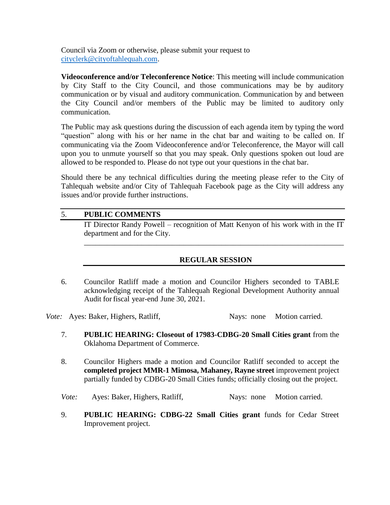Council via Zoom or otherwise, please submit your request to [cityclerk@cityoftahlequah.com.](mailto:cityclerk@cityoftahlequah.com)

**Videoconference and/or Teleconference Notice**: This meeting will include communication by City Staff to the City Council, and those communications may be by auditory communication or by visual and auditory communication. Communication by and between the City Council and/or members of the Public may be limited to auditory only communication.

The Public may ask questions during the discussion of each agenda item by typing the word "question" along with his or her name in the chat bar and waiting to be called on. If communicating via the Zoom Videoconference and/or Teleconference, the Mayor will call upon you to unmute yourself so that you may speak. Only questions spoken out loud are allowed to be responded to. Please do not type out your questions in the chat bar.

Should there be any technical difficulties during the meeting please refer to the City of Tahlequah website and/or City of Tahlequah Facebook page as the City will address any issues and/or provide further instructions.

## 5. **PUBLIC COMMENTS**

IT Director Randy Powell – recognition of Matt Kenyon of his work with in the IT department and for the City.

\_\_\_\_\_\_\_\_\_\_\_\_\_\_\_\_\_\_\_\_\_\_\_\_\_\_\_\_\_\_\_\_\_\_\_\_\_\_\_\_\_\_\_\_\_\_\_\_\_\_\_\_\_\_\_\_\_\_\_\_\_\_\_\_\_\_\_\_

## **REGULAR SESSION**

6. Councilor Ratliff made a motion and Councilor Highers seconded to TABLE acknowledging receipt of the Tahlequah Regional Development Authority annual Audit for fiscal year-end June 30, 2021.

*Vote:* Ayes: Baker, Highers, Ratliff, Nays: none Motion carried.

- 7. **PUBLIC HEARING: Closeout of 17983-CDBG-20 Small Cities grant** from the Oklahoma Department of Commerce.
- 8. Councilor Highers made a motion and Councilor Ratliff seconded to accept the **completed project MMR-1 Mimosa, Mahaney, Rayne street** improvement project partially funded by CDBG-20 Small Cities funds; officially closing out the project.
- *Vote:* Ayes: Baker, Highers, Ratliff, Nays: none Motion carried.
- 9. **PUBLIC HEARING: CDBG-22 Small Cities grant** funds for Cedar Street Improvement project.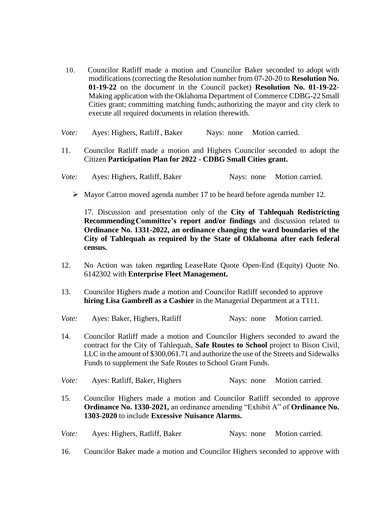- 10. Councilor Ratliff made a motion and Councilor Baker seconded to adopt with modifications (correcting the Resolution number from 07-20-20 to **Resolution No. 01-19-22** on the document in the Council packet) **Resolution No. 01-19-22**- Making application with the Oklahoma Department of Commerce CDBG-22 Small Cities grant; committing matching funds; authorizing the mayor and city clerk to execute all required documents in relation therewith.
- *Vote:* Ayes: Highers, Ratliff, Baker Nays: none Motion carried.
- 11. Councilor Ratliff made a motion and Highers Councilor seconded to adopt the Citizen **Participation Plan for 2022 - CDBG Small Cities grant.**
- *Vote:* Ayes: Highers, Ratliff, Baker Nays: none Motion carried.
	- $\triangleright$  Mayor Catron moved agenda number 17 to be heard before agenda number 12.

17. Discussion and presentation only of the **City of Tahlequah Redistricting RecommendingCommittee's report and/or findings** and discussion related to **Ordinance No. 1331-2022, an ordinance changing the ward boundaries of the City of Tahlequah as required by the State of Oklahoma after each federal census.**

- 12. No Action was taken regarding LeaseRate Quote Open-End (Equity) Quote No. 6142302 with **Enterprise Fleet Management.**
- 13. Councilor Highers made a motion and Councilor Ratliff seconded to approve **hiring Lisa Gambrell as a Cashier** in the Managerial Department at a T111.

| Vote: | Ayes: Baker, Highers, Ratliff                                                                                                                                                                                                                                                                                                 |            | Nays: none Motion carried. |  |
|-------|-------------------------------------------------------------------------------------------------------------------------------------------------------------------------------------------------------------------------------------------------------------------------------------------------------------------------------|------------|----------------------------|--|
| 14.   | Councilor Ratliff made a motion and Councilor Highers seconded to award the<br>contract for the City of Tahlequah, <b>Safe Routes to School</b> project to Bison Civil,<br>LLC in the amount of \$300,061.71 and authorize the use of the Streets and Sidewalks<br>Funds to supplement the Safe Routes to School Grant Funds. |            |                            |  |
| Vote: | Ayes: Ratliff, Baker, Highers                                                                                                                                                                                                                                                                                                 |            | Nays: none Motion carried. |  |
| 15.   | Councilor Highers made a motion and Councilor Ratliff seconded to approve<br><b>Ordinance No. 1330-2021, an ordinance amending "Exhibit A" of Ordinance No.</b><br>1303-2020 to include Excessive Nuisance Alarms.                                                                                                            |            |                            |  |
| Vote: | Ayes: Highers, Ratliff, Baker                                                                                                                                                                                                                                                                                                 | Nays: none | Motion carried.            |  |

16. Councilor Baker made a motion and Councilor Highers seconded to approve with